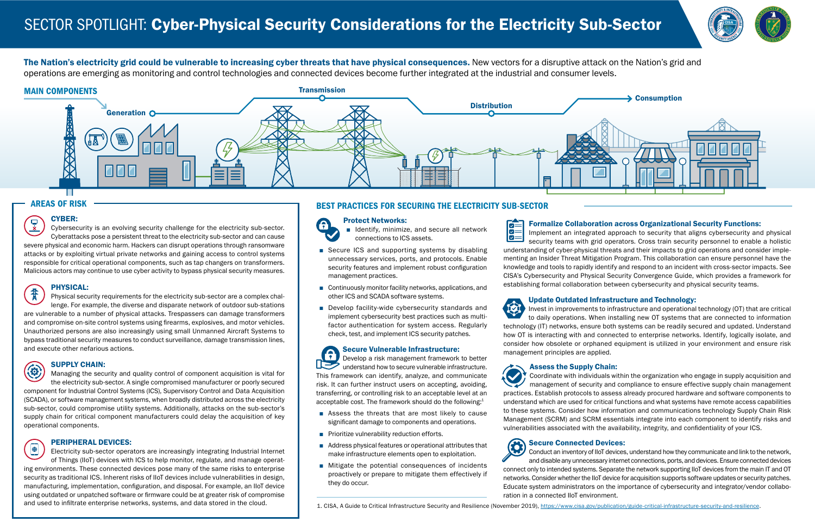The Nation's electricity grid could be vulnerable to increasing cyber threats that have physical consequences. New vectors for a disruptive attack on the Nation's grid and operations are emerging as monitoring and control technologies and connected devices become further integrated at the industrial and consumer levels.

### MAIN COMPONENTS

# **Distribution Generation O** 不安了

**Transmission** 



#### AREAS OF RISK

#### CYBER:

 $\overline{\mathbb{R}}$ Cybersecurity is an evolving security challenge for the electricity sub-sector. Cyberattacks pose a persistent threat to the electricity sub-sector and can cause severe physical and economic harm. Hackers can disrupt operations through ransomware attacks or by exploiting virtual private networks and gaining access to control systems responsible for critical operational components, such as tap changers on transformers. Malicious actors may continue to use cyber activity to bypass physical security measures.

書 Physical security requirements for the electricity sub-sector are a complex challenge. For example, the diverse and disparate network of outdoor sub-stations are vulnerable to a number of physical attacks. Trespassers can damage transformers and compromise on-site control systems using firearms, explosives, and motor vehicles. Unauthorized persons are also increasingly using small Unmanned Aircraft Systems to bypass traditional security measures to conduct surveillance, damage transmission lines, and execute other nefarious actions.

## 4

#### PHYSICAL:

 $\bigoplus$ Electricity sub-sector operators are increasingly integrating Industrial Internet of Things (IIoT) devices with ICS to help monitor, regulate, and manage operating environments. These connected devices pose many of the same risks to enterprise security as traditional ICS. Inherent risks of IIoT devices include vulnerabilities in design, manufacturing, implementation, configuration, and disposal. For example, an IIoT device using outdated or unpatched software or firmware could be at greater risk of compromise and used to infiltrate enterprise networks, systems, and data stored in the cloud.

#### SUPPLY CHAIN:

- Identify, minimize, and secure all network connections to ICS assets.
- Secure ICS and supporting systems by disabling unnecessary services, ports, and protocols. Enable security features and implement robust configuration management practices.
- Continuously monitor facility networks, applications, and other ICS and SCADA software systems.
- Develop facility-wide cybersecurity standards and implement cybersecurity best practices such as multifactor authentication for system access. Regularly check, test, and implement ICS security patches.

Secure Vulnerable Infrastructure: <u>ନ</u> Develop a risk management framework to better understand how to secure vulnerable infrastructure. This framework can identify, analyze, and communicate risk. It can further instruct users on accepting, avoiding, transferring, or controlling risk to an acceptable level at an acceptable cost. The framework should do the following:<sup>1</sup>

Managing the security and quality control of component acquisition is vital for the electricity sub-sector. A single compromised manufacturer or poorly secured component for Industrial Control Systems (ICS), Supervisory Control and Data Acquisition (SCADA), or software management systems, when broadly distributed across the electricity sub-sector, could compromise utility systems. Additionally, attacks on the sub-sector's supply chain for critical component manufacturers could delay the acquisition of key operational components.

- Assess the threats that are most likely to cause significant damage to components and operations.
- Prioritize vulnerability reduction efforts.
- Address physical features or operational attributes that make infrastructure elements open to exploitation.
- Mitigate the potential consequences of incidents proactively or prepare to mitigate them effectively if they do occur.

后

#### PERIPHERAL DEVICES:

### BEST PRACTICES FOR SECURING THE ELECTRICITY SUB-SECTOR

## $\mathbf a$

#### Protect Networks:

#### Formalize Collaboration across Organizational Security Functions:

Implement an integrated approach to security that aligns cybersecurity and physical  $\Box$ security teams with grid operators. Cross train security personnel to enable a holistic understanding of cyber-physical threats and their impacts to grid operations and consider implementing an Insider Threat Mitigation Program. This collaboration can ensure personnel have the knowledge and tools to rapidly identify and respond to an incident with cross-sector impacts. See CISA's Cybersecurity and Physical Security Convergence Guide, which provides a framework for establishing formal collaboration between cybersecurity and physical security teams.

肉

#### Update Outdated Infrastructure and Technology:

Invest in improvements to infrastructure and operational technology (OT) that are critical to daily operations. When installing new OT systems that are connected to information technology (IT) networks, ensure both systems can be readily secured and updated. Understand how OT is interacting with and connected to enterprise networks. Identify, logically isolate, and consider how obsolete or orphaned equipment is utilized in your environment and ensure risk management principles are applied.

Assess the Supply Chain:

Coordinate with individuals within the organization who engage in supply acquisition and management of security and compliance to ensure effective supply chain management practices. Establish protocols to assess already procured hardware and software components to understand which are used for critical functions and what systems have remote access capabilities to these systems. Consider how information and communications technology Supply Chain Risk Management (SCRM) and SCRM essentials integrate into each component to identify risks and vulnerabilities associated with the availability, integrity, and confidentiality of your ICS.

### Secure Connected Devices:

Conduct an inventory of IIoT devices, understand how they communicate and link to the network, and disable any unnecessary internet connections, ports, and devices. Ensure connected devices connect only to intended systems. Separate the network supporting IIoT devices from the main IT and OT networks. Consider whether the IIoT device for acquisition supports software updates or security patches. Educate system administrators on the importance of cybersecurity and integrator/vendor collaboration in a connected IIoT environment.

1. CISA, A Guide to Critical Infrastructure Security and Resilience (November 2019), <https://www.cisa.gov/publication/guide-critical-infrastructure-security-and-resilience>.